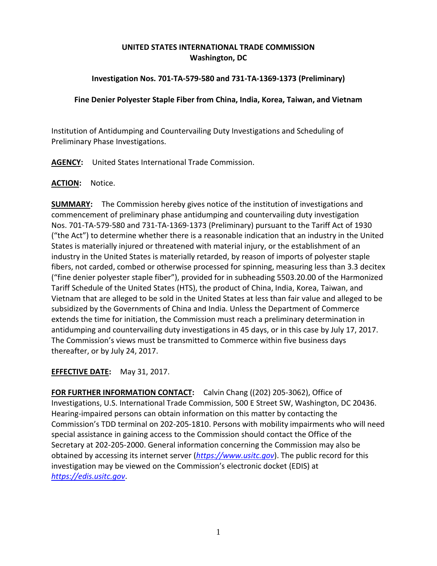# **UNITED STATES INTERNATIONAL TRADE COMMISSION Washington, DC**

## **Investigation Nos. 701-TA-579-580 and 731-TA-1369-1373 (Preliminary)**

### **Fine Denier Polyester Staple Fiber from China, India, Korea, Taiwan, and Vietnam**

Institution of Antidumping and Countervailing Duty Investigations and Scheduling of Preliminary Phase Investigations.

**AGENCY:** United States International Trade Commission.

#### **ACTION:** Notice.

**SUMMARY:** The Commission hereby gives notice of the institution of investigations and commencement of preliminary phase antidumping and countervailing duty investigation Nos. 701-TA-579-580 and 731-TA-1369-1373 (Preliminary) pursuant to the Tariff Act of 1930 ("the Act") to determine whether there is a reasonable indication that an industry in the United States is materially injured or threatened with material injury, or the establishment of an industry in the United States is materially retarded, by reason of imports of polyester staple fibers, not carded, combed or otherwise processed for spinning, measuring less than 3.3 decitex ("fine denier polyester staple fiber"), provided for in subheading 5503.20.00 of the Harmonized Tariff Schedule of the United States (HTS), the product of China, India, Korea, Taiwan, and Vietnam that are alleged to be sold in the United States at less than fair value and alleged to be subsidized by the Governments of China and India. Unless the Department of Commerce extends the time for initiation, the Commission must reach a preliminary determination in antidumping and countervailing duty investigations in 45 days, or in this case by July 17, 2017. The Commission's views must be transmitted to Commerce within five business days thereafter, or by July 24, 2017.

**EFFECTIVE DATE:** May 31, 2017.

**FOR FURTHER INFORMATION CONTACT:** Calvin Chang ((202) 205-3062), Office of Investigations, U.S. International Trade Commission, 500 E Street SW, Washington, DC 20436. Hearing-impaired persons can obtain information on this matter by contacting the Commission's TDD terminal on 202-205-1810. Persons with mobility impairments who will need special assistance in gaining access to the Commission should contact the Office of the Secretary at 202-205-2000. General information concerning the Commission may also be obtained by accessing its internet server (*[https://www.usitc.gov](https://www.usitc.gov/)*). The public record for this investigation may be viewed on the Commission's electronic docket (EDIS) at *[https://edis.usitc.gov](https://edis.usitc.gov/)*.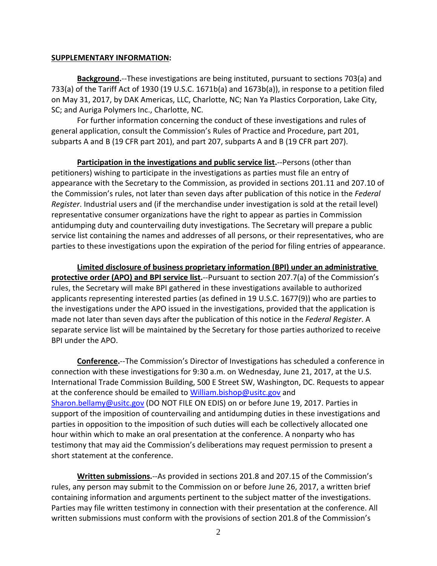#### **SUPPLEMENTARY INFORMATION:**

**Background.**--These investigations are being instituted, pursuant to sections 703(a) and 733(a) of the Tariff Act of 1930 (19 U.S.C. 1671b(a) and 1673b(a)), in response to a petition filed on May 31, 2017, by DAK Americas, LLC, Charlotte, NC; Nan Ya Plastics Corporation, Lake City, SC; and Auriga Polymers Inc., Charlotte, NC.

For further information concerning the conduct of these investigations and rules of general application, consult the Commission's Rules of Practice and Procedure, part 201, subparts A and B (19 CFR part 201), and part 207, subparts A and B (19 CFR part 207).

**Participation in the investigations and public service list.**--Persons (other than petitioners) wishing to participate in the investigations as parties must file an entry of appearance with the Secretary to the Commission, as provided in sections 201.11 and 207.10 of the Commission's rules, not later than seven days after publication of this notice in the *Federal Register*. Industrial users and (if the merchandise under investigation is sold at the retail level) representative consumer organizations have the right to appear as parties in Commission antidumping duty and countervailing duty investigations. The Secretary will prepare a public service list containing the names and addresses of all persons, or their representatives, who are parties to these investigations upon the expiration of the period for filing entries of appearance.

**Limited disclosure of business proprietary information (BPI) under an administrative protective order (APO) and BPI service list.**--Pursuant to section 207.7(a) of the Commission's rules, the Secretary will make BPI gathered in these investigations available to authorized applicants representing interested parties (as defined in 19 U.S.C. 1677(9)) who are parties to the investigations under the APO issued in the investigations, provided that the application is made not later than seven days after the publication of this notice in the *Federal Register*. A separate service list will be maintained by the Secretary for those parties authorized to receive BPI under the APO.

**Conference.**--The Commission's Director of Investigations has scheduled a conference in connection with these investigations for 9:30 a.m. on Wednesday, June 21, 2017, at the U.S. International Trade Commission Building, 500 E Street SW, Washington, DC. Requests to appear at the conference should be emailed to [William.bishop@usitc.gov](mailto:William.bishop@usitc.gov) and [Sharon.bellamy@usitc.gov](mailto:Sharon.bellamy@usitc.gov)) (DO NOT FILE ON EDIS) on or before June 19, 2017. Parties in support of the imposition of countervailing and antidumping duties in these investigations and parties in opposition to the imposition of such duties will each be collectively allocated one hour within which to make an oral presentation at the conference. A nonparty who has testimony that may aid the Commission's deliberations may request permission to present a short statement at the conference.

**Written submissions.**--As provided in sections 201.8 and 207.15 of the Commission's rules, any person may submit to the Commission on or before June 26, 2017, a written brief containing information and arguments pertinent to the subject matter of the investigations. Parties may file written testimony in connection with their presentation at the conference. All written submissions must conform with the provisions of section 201.8 of the Commission's